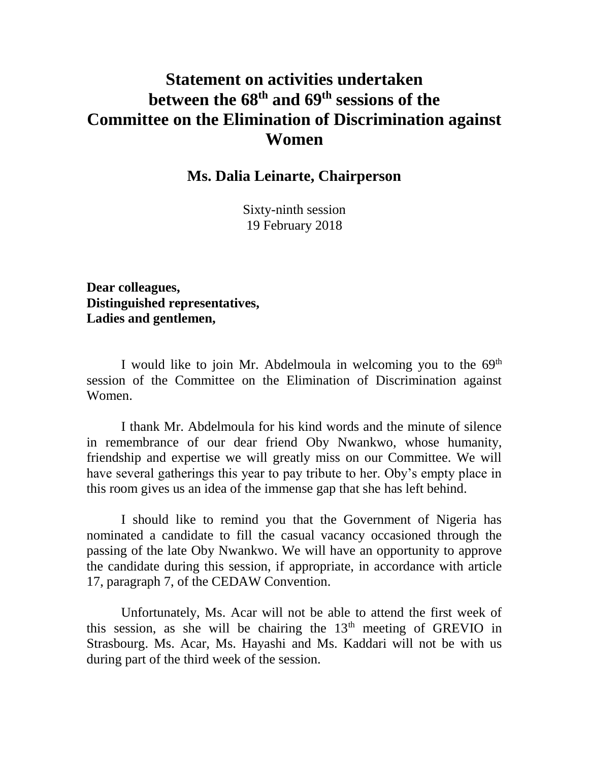## **Statement on activities undertaken between the 68 th and 69 th sessions of the Committee on the Elimination of Discrimination against Women**

**Ms. Dalia Leinarte, Chairperson**

Sixty-ninth session 19 February 2018

**Dear colleagues, Distinguished representatives, Ladies and gentlemen,**

I would like to join Mr. Abdelmoula in welcoming you to the 69<sup>th</sup> session of the Committee on the Elimination of Discrimination against Women.

I thank Mr. Abdelmoula for his kind words and the minute of silence in remembrance of our dear friend Oby Nwankwo, whose humanity, friendship and expertise we will greatly miss on our Committee. We will have several gatherings this year to pay tribute to her. Oby's empty place in this room gives us an idea of the immense gap that she has left behind.

I should like to remind you that the Government of Nigeria has nominated a candidate to fill the casual vacancy occasioned through the passing of the late Oby Nwankwo. We will have an opportunity to approve the candidate during this session, if appropriate, in accordance with article 17, paragraph 7, of the CEDAW Convention.

Unfortunately, Ms. Acar will not be able to attend the first week of this session, as she will be chairing the  $13<sup>th</sup>$  meeting of GREVIO in Strasbourg. Ms. Acar, Ms. Hayashi and Ms. Kaddari will not be with us during part of the third week of the session.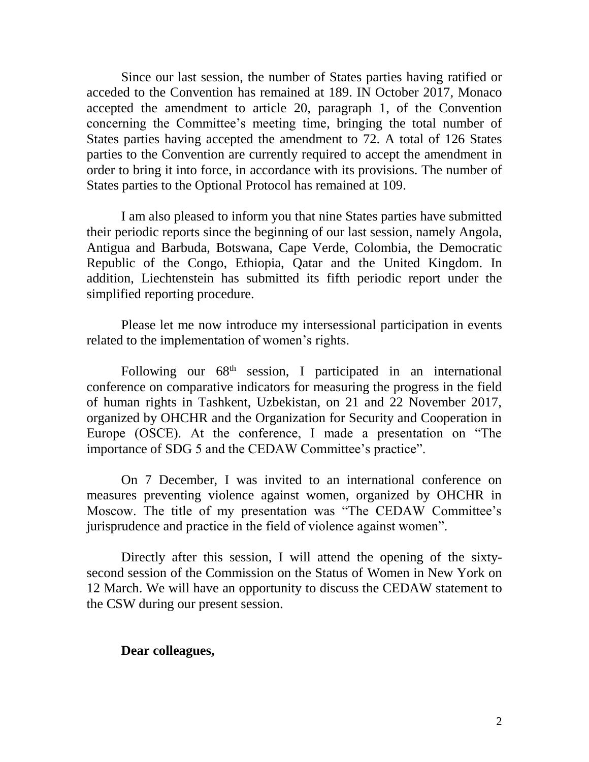Since our last session, the number of States parties having ratified or acceded to the Convention has remained at 189. IN October 2017, Monaco accepted the amendment to article 20, paragraph 1, of the Convention concerning the Committee's meeting time, bringing the total number of States parties having accepted the amendment to 72. A total of 126 States parties to the Convention are currently required to accept the amendment in order to bring it into force, in accordance with its provisions. The number of States parties to the Optional Protocol has remained at 109.

I am also pleased to inform you that nine States parties have submitted their periodic reports since the beginning of our last session, namely Angola, Antigua and Barbuda, Botswana, Cape Verde, Colombia, the Democratic Republic of the Congo, Ethiopia, Qatar and the United Kingdom. In addition, Liechtenstein has submitted its fifth periodic report under the simplified reporting procedure.

Please let me now introduce my intersessional participation in events related to the implementation of women's rights.

Following our  $68<sup>th</sup>$  session, I participated in an international conference on comparative indicators for measuring the progress in the field of human rights in Tashkent, Uzbekistan, on 21 and 22 November 2017, organized by OHCHR and the Organization for Security and Cooperation in Europe (OSCE). At the conference, I made a presentation on "The importance of SDG 5 and the CEDAW Committee's practice".

On 7 December, I was invited to an international conference on measures preventing violence against women, organized by OHCHR in Moscow. The title of my presentation was "The CEDAW Committee's jurisprudence and practice in the field of violence against women".

Directly after this session, I will attend the opening of the sixtysecond session of the Commission on the Status of Women in New York on 12 March. We will have an opportunity to discuss the CEDAW statement to the CSW during our present session.

## **Dear colleagues,**